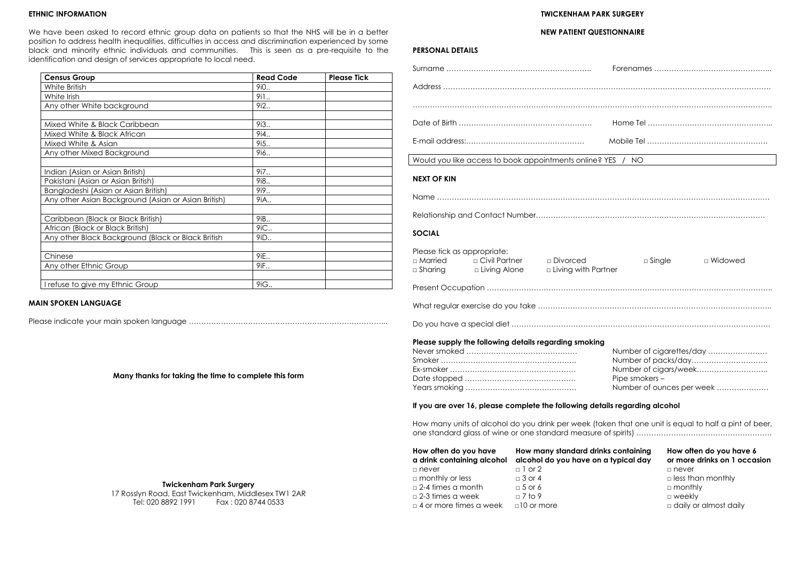### **ETHNIC INFORMATION**

We have been asked to record ethnic group data on patients so that the NHS will be in a better position to address health inequalities, difficulties in access and discrimination experienced by some black and minority ethnic individuals and communities. This is seen as a pre-requisite to the identification and design of services appropriate to local need.

> 17 Rosslyn Road, East Twickenham, Middlesex TW1 2AR Fax : 020 8744 0533

| <b>Census Group</b>                                 | <b>Read Code</b> | <b>Please Tick</b> |
|-----------------------------------------------------|------------------|--------------------|
| White British                                       | 9i0              |                    |
| White Irish                                         | 9i1              |                    |
| Any other White background                          | 9i2              |                    |
|                                                     |                  |                    |
| Mixed White & Black Caribbean                       | 9i3              |                    |
| Mixed White & Black African                         | 9i4              |                    |
| Mixed White & Asian                                 | 9i5.             |                    |
| Any other Mixed Background                          | 9i6              |                    |
|                                                     |                  |                    |
| Indian (Asian or Asian British)                     | 9i7              |                    |
| Pakistani (Asian or Asian British)                  | 9i8              |                    |
| Bangladeshi (Asian or Asian British)                | 9i9              |                    |
| Any other Asian Background (Asian or Asian British) | 9iA              |                    |
|                                                     |                  |                    |
| Caribbean (Black or Black British)                  | 9iB              |                    |
| African (Black or Black British)                    | 9iC              |                    |
| Any other Black Background (Black or Black British  | 9iD              |                    |
|                                                     |                  |                    |
| Chinese                                             | 9iE              |                    |
| Any other Ethnic Group                              | 9iF              |                    |
|                                                     |                  |                    |
| I refuse to give my Ethnic Group                    | 9iG              |                    |

### **MAIN SPOKEN LANGUAGE**

Please indicate your main spoken language ……………………………………………………………………...

**Many thanks for taking the time to complete this form**

### **Twickenham Park Surgery**

# **TWICKENHAM PARK SURGERY**

### **NEW PATIENT QUESTIONNAIRE**

## **PERSONAL DETAILS**

| Would you like access to book appointments online? YES / NO                                                                                                                                                                                                                                                                                  | <u> 1989 - Jan Samuel Barbara, margaret e</u> |  |  |
|----------------------------------------------------------------------------------------------------------------------------------------------------------------------------------------------------------------------------------------------------------------------------------------------------------------------------------------------|-----------------------------------------------|--|--|
| <b>NEXT OF KIN</b>                                                                                                                                                                                                                                                                                                                           |                                               |  |  |
|                                                                                                                                                                                                                                                                                                                                              |                                               |  |  |
|                                                                                                                                                                                                                                                                                                                                              |                                               |  |  |
| <b>SOCIAL</b>                                                                                                                                                                                                                                                                                                                                |                                               |  |  |
| Please tick as appropriate:<br><b>DESCRIP CONTRACTE:</b> Divorced<br>□ Married<br>□ Sharing □ Living Alone<br>□ Living with Partner                                                                                                                                                                                                          | $\square$ Single<br>□ Widowed                 |  |  |
|                                                                                                                                                                                                                                                                                                                                              |                                               |  |  |
|                                                                                                                                                                                                                                                                                                                                              |                                               |  |  |
|                                                                                                                                                                                                                                                                                                                                              |                                               |  |  |
| Please supply the following details regarding smoking<br>Number of packs/day<br>Number of cigars/week<br>Pipe smokers -<br>Number of ounces per week<br>If you are over 16, please complete the following details regarding alcohol<br>How many units of alcohol do you drink per week (taken that one unit is equal to half a pint of beer, |                                               |  |  |
|                                                                                                                                                                                                                                                                                                                                              |                                               |  |  |
| How often do you have it how many standard drinks containing it how often do you have 6                                                                                                                                                                                                                                                      |                                               |  |  |

**How often do you have How many standard drinks containing How often do you have 6** 

| <b>HOW OFFILL AND YOU HUVE</b><br>a drink containing alcohol | How many signation annies communiqu<br>alcohol do you have on a typical day | <b>THE BUSINESS OF STATE OF STATE OF STATE</b><br>or more drinks on 1 occasion |  |  |
|--------------------------------------------------------------|-----------------------------------------------------------------------------|--------------------------------------------------------------------------------|--|--|
| □ never                                                      | $\Box$ 1 or 2                                                               | □ never                                                                        |  |  |
| $\Box$ monthly or less                                       | $\Box$ 3 or 4                                                               | $\Box$ less than monthly                                                       |  |  |
| $\Box$ 2-4 times a month                                     | $\Box$ 5 or 6                                                               | $\Box$ monthly                                                                 |  |  |
| $\Box$ 2-3 times a week                                      | $\sqrt{7}$ to 9                                                             | □ weekly                                                                       |  |  |
| $\Box$ 4 or more times a week                                | $\Box$ 10 or more                                                           | $\Box$ daily or almost daily                                                   |  |  |